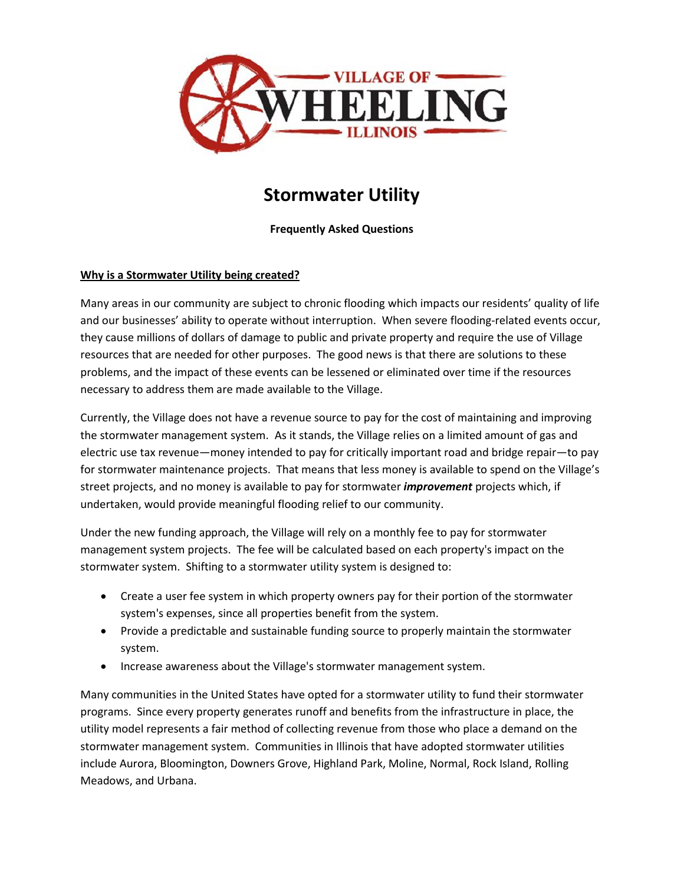

# **Stormwater Utility**

#### **Frequently Asked Questions**

#### **Why is a Stormwater Utility being created?**

Many areas in our community are subject to chronic flooding which impacts our residents' quality of life and our businesses' ability to operate without interruption. When severe flooding-related events occur, they cause millions of dollars of damage to public and private property and require the use of Village resources that are needed for other purposes. The good news is that there are solutions to these problems, and the impact of these events can be lessened or eliminated over time if the resources necessary to address them are made available to the Village.

Currently, the Village does not have a revenue source to pay for the cost of maintaining and improving the stormwater management system. As it stands, the Village relies on a limited amount of gas and electric use tax revenue—money intended to pay for critically important road and bridge repair—to pay for stormwater maintenance projects. That means that less money is available to spend on the Village's street projects, and no money is available to pay for stormwater *improvement* projects which, if undertaken, would provide meaningful flooding relief to our community.

Under the new funding approach, the Village will rely on a monthly fee to pay for stormwater management system projects. The fee will be calculated based on each property's impact on the stormwater system. Shifting to a stormwater utility system is designed to:

- Create a user fee system in which property owners pay for their portion of the stormwater system's expenses, since all properties benefit from the system.
- Provide a predictable and sustainable funding source to properly maintain the stormwater system.
- Increase awareness about the Village's stormwater management system.

Many communities in the United States have opted for a stormwater utility to fund their stormwater programs. Since every property generates runoff and benefits from the infrastructure in place, the utility model represents a fair method of collecting revenue from those who place a demand on the stormwater management system. Communities in Illinois that have adopted stormwater utilities include Aurora, Bloomington, Downers Grove, Highland Park, Moline, Normal, Rock Island, Rolling Meadows, and Urbana.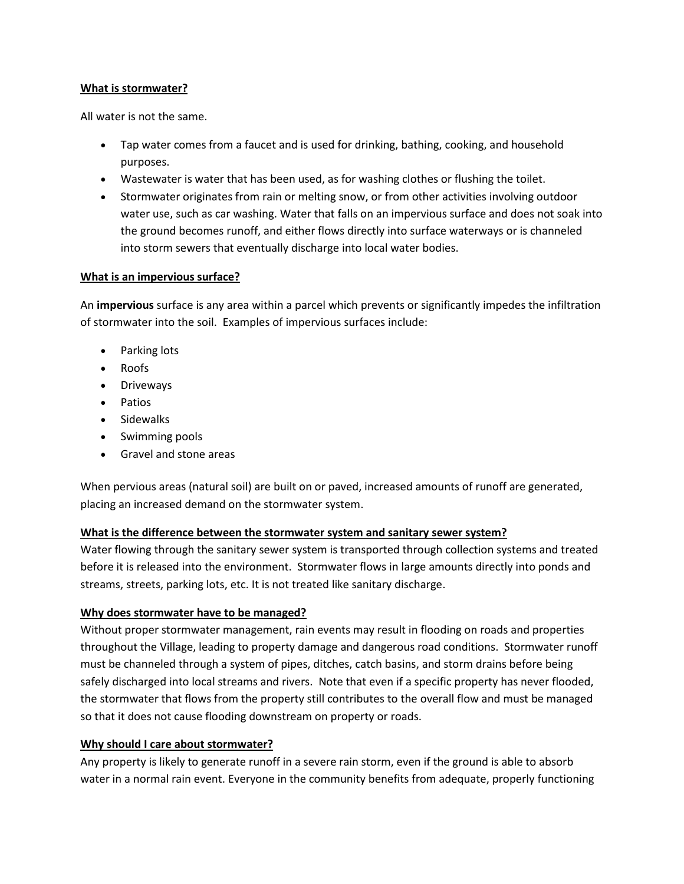#### **What is stormwater?**

All water is not the same.

- Tap water comes from a faucet and is used for drinking, bathing, cooking, and household purposes.
- Wastewater is water that has been used, as for washing clothes or flushing the toilet.
- Stormwater originates from rain or melting snow, or from other activities involving outdoor water use, such as car washing. Water that falls on an impervious surface and does not soak into the ground becomes runoff, and either flows directly into surface waterways or is channeled into storm sewers that eventually discharge into local water bodies.

#### **What is an impervious surface?**

An **impervious** surface is any area within a parcel which prevents or significantly impedes the infiltration of stormwater into the soil. Examples of impervious surfaces include:

- Parking lots
- Roofs
- Driveways
- Patios
- Sidewalks
- Swimming pools
- Gravel and stone areas

When pervious areas (natural soil) are built on or paved, increased amounts of runoff are generated, placing an increased demand on the stormwater system.

#### **What is the difference between the stormwater system and sanitary sewer system?**

Water flowing through the sanitary sewer system is transported through collection systems and treated before it is released into the environment. Stormwater flows in large amounts directly into ponds and streams, streets, parking lots, etc. It is not treated like sanitary discharge.

#### **Why does stormwater have to be managed?**

Without proper stormwater management, rain events may result in flooding on roads and properties throughout the Village, leading to property damage and dangerous road conditions. Stormwater runoff must be channeled through a system of pipes, ditches, catch basins, and storm drains before being safely discharged into local streams and rivers. Note that even if a specific property has never flooded, the stormwater that flows from the property still contributes to the overall flow and must be managed so that it does not cause flooding downstream on property or roads.

#### **Why should I care about stormwater?**

Any property is likely to generate runoff in a severe rain storm, even if the ground is able to absorb water in a normal rain event. Everyone in the community benefits from adequate, properly functioning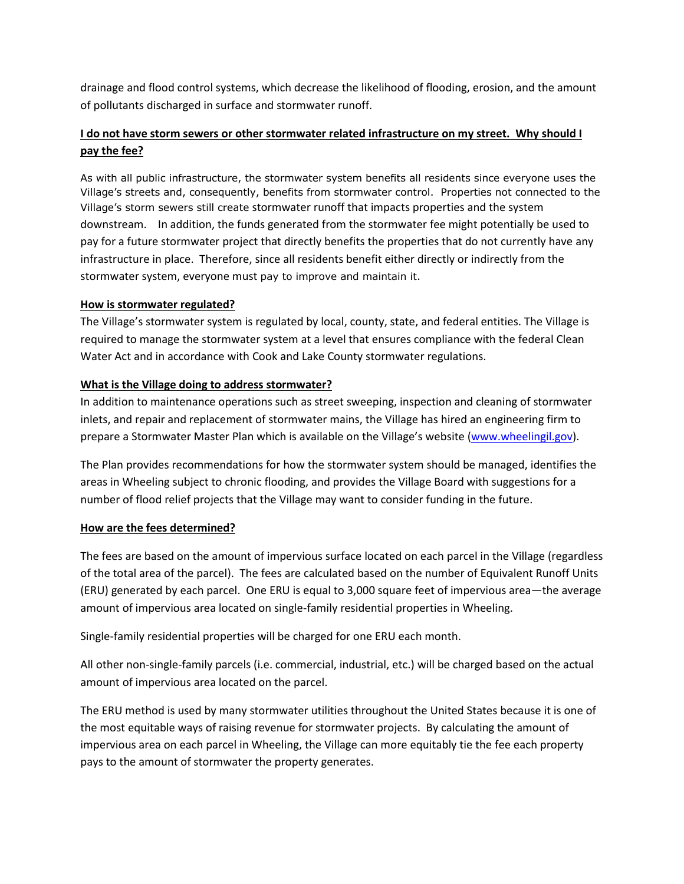drainage and flood control systems, which decrease the likelihood of flooding, erosion, and the amount of pollutants discharged in surface and stormwater runoff.

# **I do not have storm sewers or other stormwater related infrastructure on my street. Why should I pay the fee?**

As with all public infrastructure, the stormwater system benefits all residents since everyone uses the Village's streets and, consequently, benefits from stormwater control. Properties not connected to the Village's storm sewers still create stormwater runoff that impacts properties and the system downstream. In addition, the funds generated from the stormwater fee might potentially be used to pay for a future stormwater project that directly benefits the properties that do not currently have any infrastructure in place. Therefore, since all residents benefit either directly or indirectly from the stormwater system, everyone must pay to improve and maintain it.

#### **How is stormwater regulated?**

The Village's stormwater system is regulated by local, county, state, and federal entities. The Village is required to manage the stormwater system at a level that ensures compliance with the federal Clean Water Act and in accordance with Cook and Lake County stormwater regulations.

# **What is the Village doing to address stormwater?**

In addition to maintenance operations such as street sweeping, inspection and cleaning of stormwater inlets, and repair and replacement of stormwater mains, the Village has hired an engineering firm to prepare a Stormwater Master Plan which is available on the Village's website ([www.wheelingil.gov\)](http://www.wheelingil.gov/).

The Plan provides recommendations for how the stormwater system should be managed, identifies the areas in Wheeling subject to chronic flooding, and provides the Village Board with suggestions for a number of flood relief projects that the Village may want to consider funding in the future.

#### **How are the fees determined?**

The fees are based on the amount of impervious surface located on each parcel in the Village (regardless of the total area of the parcel). The fees are calculated based on the number of Equivalent Runoff Units (ERU) generated by each parcel. One ERU is equal to 3,000 square feet of impervious area—the average amount of impervious area located on single-family residential properties in Wheeling.

Single-family residential properties will be charged for one ERU each month.

All other non-single-family parcels (i.e. commercial, industrial, etc.) will be charged based on the actual amount of impervious area located on the parcel.

The ERU method is used by many stormwater utilities throughout the United States because it is one of the most equitable ways of raising revenue for stormwater projects. By calculating the amount of impervious area on each parcel in Wheeling, the Village can more equitably tie the fee each property pays to the amount of stormwater the property generates.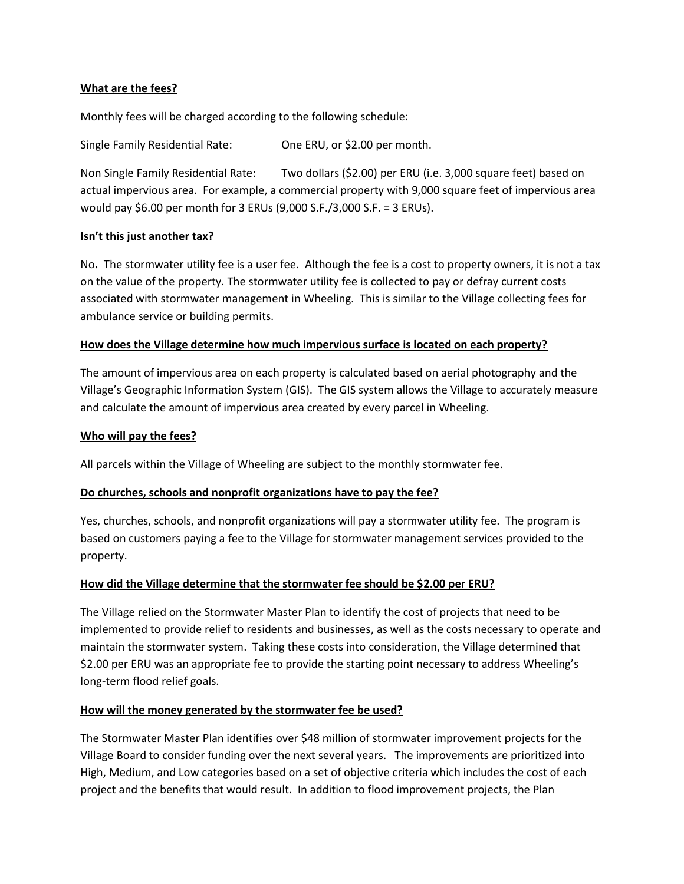#### **What are the fees?**

Monthly fees will be charged according to the following schedule:

Single Family Residential Rate: One ERU, or \$2.00 per month.

Non Single Family Residential Rate: Two dollars (\$2.00) per ERU (i.e. 3,000 square feet) based on actual impervious area. For example, a commercial property with 9,000 square feet of impervious area would pay \$6.00 per month for 3 ERUs (9,000 S.F./3,000 S.F. = 3 ERUs).

#### **Isn't this just another tax?**

No**.** The stormwater utility fee is a user fee. Although the fee is a cost to property owners, it is not a tax on the value of the property. The stormwater utility fee is collected to pay or defray current costs associated with stormwater management in Wheeling. This is similar to the Village collecting fees for ambulance service or building permits.

#### **How does the Village determine how much impervious surface is located on each property?**

The amount of impervious area on each property is calculated based on aerial photography and the Village's Geographic Information System (GIS). The GIS system allows the Village to accurately measure and calculate the amount of impervious area created by every parcel in Wheeling.

#### **Who will pay the fees?**

All parcels within the Village of Wheeling are subject to the monthly stormwater fee.

#### **Do churches, schools and nonprofit organizations have to pay the fee?**

Yes, churches, schools, and nonprofit organizations will pay a stormwater utility fee. The program is based on customers paying a fee to the Village for stormwater management services provided to the property.

#### **How did the Village determine that the stormwater fee should be \$2.00 per ERU?**

The Village relied on the Stormwater Master Plan to identify the cost of projects that need to be implemented to provide relief to residents and businesses, as well as the costs necessary to operate and maintain the stormwater system. Taking these costs into consideration, the Village determined that \$2.00 per ERU was an appropriate fee to provide the starting point necessary to address Wheeling's long-term flood relief goals.

#### **How will the money generated by the stormwater fee be used?**

The Stormwater Master Plan identifies over \$48 million of stormwater improvement projects for the Village Board to consider funding over the next several years. The improvements are prioritized into High, Medium, and Low categories based on a set of objective criteria which includes the cost of each project and the benefits that would result. In addition to flood improvement projects, the Plan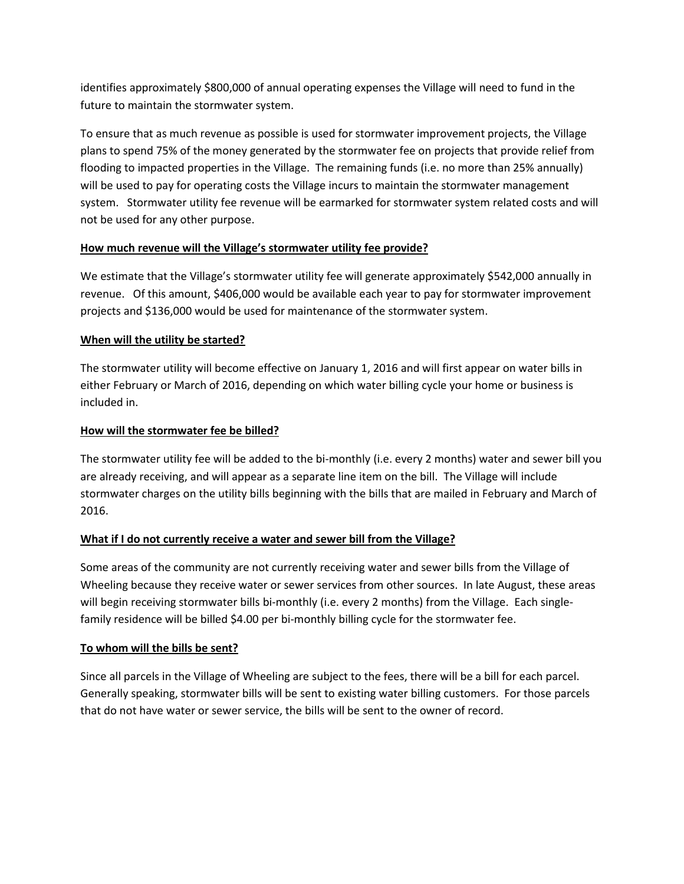identifies approximately \$800,000 of annual operating expenses the Village will need to fund in the future to maintain the stormwater system.

To ensure that as much revenue as possible is used for stormwater improvement projects, the Village plans to spend 75% of the money generated by the stormwater fee on projects that provide relief from flooding to impacted properties in the Village. The remaining funds (i.e. no more than 25% annually) will be used to pay for operating costs the Village incurs to maintain the stormwater management system. Stormwater utility fee revenue will be earmarked for stormwater system related costs and will not be used for any other purpose.

# **How much revenue will the Village's stormwater utility fee provide?**

We estimate that the Village's stormwater utility fee will generate approximately \$542,000 annually in revenue. Of this amount, \$406,000 would be available each year to pay for stormwater improvement projects and \$136,000 would be used for maintenance of the stormwater system.

#### **When will the utility be started?**

The stormwater utility will become effective on January 1, 2016 and will first appear on water bills in either February or March of 2016, depending on which water billing cycle your home or business is included in.

#### **How will the stormwater fee be billed?**

The stormwater utility fee will be added to the bi-monthly (i.e. every 2 months) water and sewer bill you are already receiving, and will appear as a separate line item on the bill. The Village will include stormwater charges on the utility bills beginning with the bills that are mailed in February and March of 2016.

# **What if I do not currently receive a water and sewer bill from the Village?**

Some areas of the community are not currently receiving water and sewer bills from the Village of Wheeling because they receive water or sewer services from other sources. In late August, these areas will begin receiving stormwater bills bi-monthly (i.e. every 2 months) from the Village. Each singlefamily residence will be billed \$4.00 per bi-monthly billing cycle for the stormwater fee.

#### **To whom will the bills be sent?**

Since all parcels in the Village of Wheeling are subject to the fees, there will be a bill for each parcel. Generally speaking, stormwater bills will be sent to existing water billing customers. For those parcels that do not have water or sewer service, the bills will be sent to the owner of record.